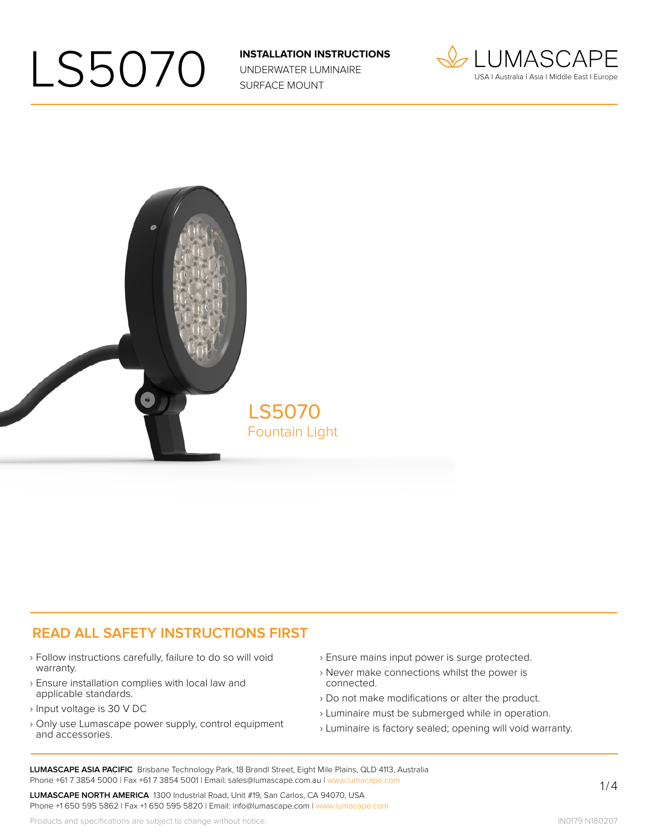UNDERWATER LUMINAIRE SURFACE MOUNT





#### **READ ALL SAFETY INSTRUCTIONS FIRST**

- › Follow instructions carefully, failure to do so will void warranty.
- › Ensure installation complies with local law and applicable standards.
- › Input voltage is 30 V DC
- › Only use Lumascape power supply, control equipment and accessories.
- › Ensure mains input power is surge protected.
- › Never make connections whilst the power is connected.
- › Do not make modifications or alter the product.
- › Luminaire must be submerged while in operation.
- › Luminaire is factory sealed; opening will void warranty.

**LUMASCAPE ASIA PACIFIC** Brisbane Technology Park, 18 Brandl Street, Eight Mile Plains, QLD 4113, Australia Phone +61 7 3854 5000 | Fax +61 7 3854 5001 | Email: sales@lumascape.com.au | www.lumacape.com

**LUMASCAPE NORTH AMERICA** 1300 Industrial Road, Unit #19, San Carlos, CA 94070, USA Phone +1 650 595 5862 | Fax +1 650 595 5820 | Email: info@lumascape.com | www.lumacape.com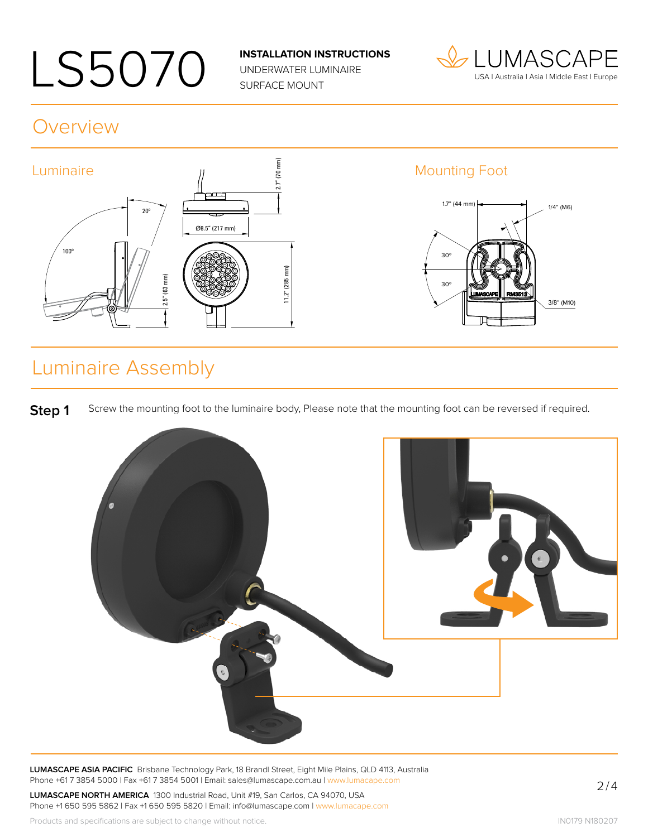UNDERWATER LUMINAIRE SURFACE MOUNT



#### **Overview**



### Luminaire Assembly

**Step 1** Screw the mounting foot to the luminaire body, Please note that the mounting foot can be reversed if required.



**LUMASCAPE ASIA PACIFIC** Brisbane Technology Park, 18 Brandl Street, Eight Mile Plains, QLD 4113, Australia Phone +61 7 3854 5000 | Fax +61 7 3854 5001 | Email: sales@lumascape.com.au | www.lumacape.com

**LUMASCAPE NORTH AMERICA** 1300 Industrial Road, Unit #19, San Carlos, CA 94070, USA Phone +1 650 595 5862 | Fax +1 650 595 5820 | Email: info@lumascape.com | www.lumacape.com

Products and specifications are subject to change without notice.

2/4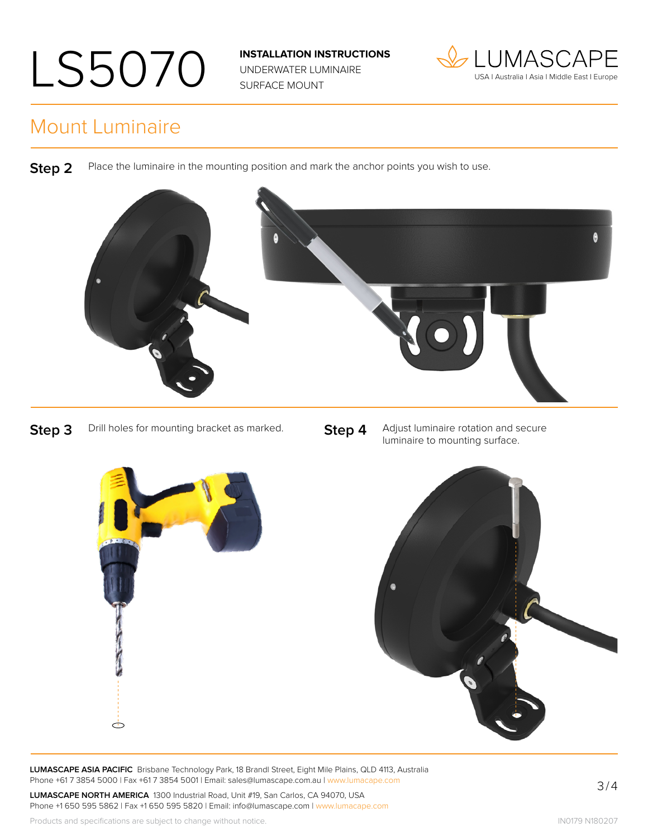UNDERWATER LUMINAIRE SURFACE MOUNT



#### Mount Luminaire

**Step 2** Place the luminaire in the mounting position and mark the anchor points you wish to use.



**Step 3** Drill holes for mounting bracket as marked. **Step 4** Adjust luminaire rotation and secure luminaire to mounting surface.



**LUMASCAPE ASIA PACIFIC** Brisbane Technology Park, 18 Brandl Street, Eight Mile Plains, QLD 4113, Australia Phone +61 7 3854 5000 | Fax +61 7 3854 5001 | Email: sales@lumascape.com.au | www.lumacape.com

**LUMASCAPE NORTH AMERICA** 1300 Industrial Road, Unit #19, San Carlos, CA 94070, USA Phone +1 650 595 5862 | Fax +1 650 595 5820 | Email: info@lumascape.com | www.lumacape.com 3/4